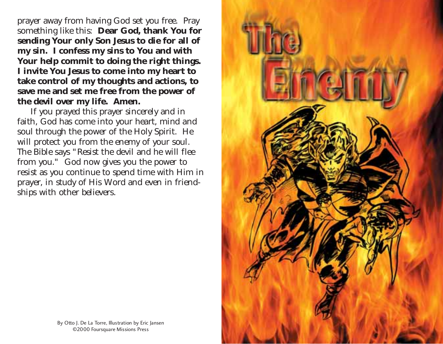prayer away from having God set you free. Pray something like this: **Dear God, thank You for sending Your only Son Jesus to die for all of my sin. I confess my sins to You and with Your help commit to doing the right things. I invite You Jesus to come into my heart to take control of my thoughts and actions, to save me and set me free from the power of the devil over my life. Amen.**

If you prayed this prayer sincerely and in faith, God has come into your heart, mind and soul through the power of the Holy Spirit. He will protect you from the enemy of your soul. The Bible says "Resist the devil and he will flee from you." God now gives you the power to resist as you continue to spend time with Him in prayer, in study of His Word and even in friendships with other believers.



By Otto J. De La Torre, Illustration by Eric Jansen ©2000 Foursquare Missions Press